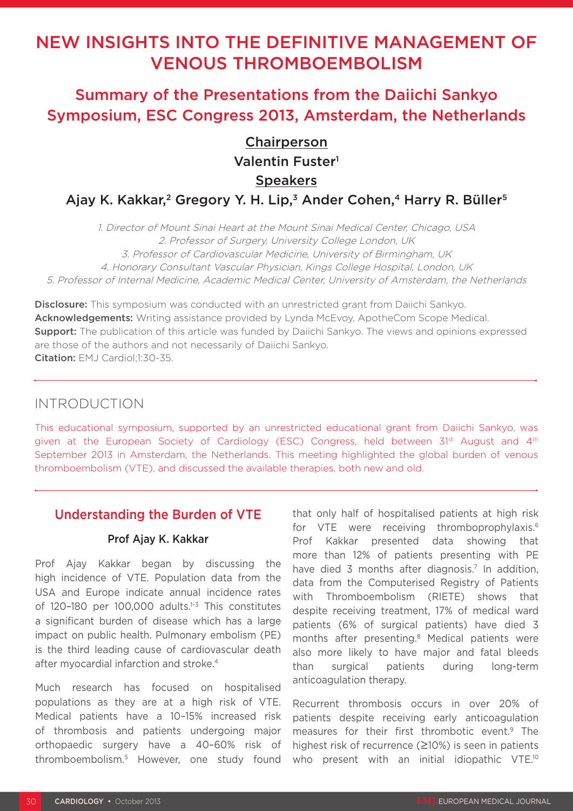# NEW INSIGHTS INTO THE DEFINITIVE MANAGEMENT OF VENOUS THROMBOEMBOLISM

Summary of the Presentations from the Daiichi Sankyo Symposium, ESC Congress 2013, Amsterdam, the Netherlands

## **Chairperson** Valentin Fuster<sup>1</sup> **Speakers**

Ajay K. Kakkar,<sup>2</sup> Gregory Y. H. Lip,<sup>3</sup> Ander Cohen,<sup>4</sup> Harry R. Büller<sup>5</sup>

1. Director of Mount Sinai Heart at the Mount Sinai Medical Center, Chicago, USA 2. Professor of Surgery, University College London, UK 3. Professor of Cardiovascular Medicine, University of Birmingham, UK 4. Honorary Consultant Vascular Physician, Kings College Hospital, London, UK 5. Professor of Internal Medicine, Academic Medical Center, University of Amsterdam, the Netherlands

**Disclosure:** This symposium was conducted with an unrestricted grant from Daiichi Sankyo. Acknowledgements: Writing assistance provided by Lynda McEvoy, ApotheCom Scope Medical. **Support:** The publication of this article was funded by Daiichi Sankyo. The views and opinions expressed are those of the authors and not necessarily of Daiichi Sankyo. Citation: EMJ Cardiol:1:30-35.

### INTRODUCTION

This educational symposium, supported by an unrestricted educational grant from Daiichi Sankyo, was given at the European Society of Cardiology (ESC) Congress, held between 31<sup>st</sup> August and 4<sup>th</sup> September 2013 in Amsterdam, the Netherlands. This meeting highlighted the global burden of venous thromboembolism (VTE), and discussed the available therapies, both new and old.

### Understanding the Burden of VTE

#### Prof Ajay K. Kakkar

Prof Ajay Kakkar began by discussing the high incidence of VTE. Population data from the USA and Europe indicate annual incidence rates of 120-180 per 100,000 adults.<sup>1-3</sup> This constitutes a significant burden of disease which has a large impact on public health. Pulmonary embolism (PE) is the third leading cause of cardiovascular death after myocardial infarction and stroke.4

Much research has focused on hospitalised populations as they are at a high risk of VTE. Medical patients have a 10–15% increased risk of thrombosis and patients undergoing major orthopaedic surgery have a 40–60% risk of thromboembolism.5 However, one study found that only half of hospitalised patients at high risk for VTE were receiving thromboprophylaxis.6 Prof Kakkar presented data showing that more than 12% of patients presenting with PE have died 3 months after diagnosis.<sup>7</sup> In addition, data from the Computerised Registry of Patients with Thromboembolism (RIETE) shows that despite receiving treatment, 17% of medical ward patients (6% of surgical patients) have died 3 months after presenting.8 Medical patients were also more likely to have major and fatal bleeds than surgical patients during long-term anticoagulation therapy.

Recurrent thrombosis occurs in over 20% of patients despite receiving early anticoagulation measures for their first thrombotic event.<sup>9</sup> The highest risk of recurrence (≥10%) is seen in patients who present with an initial idiopathic VTE.<sup>10</sup>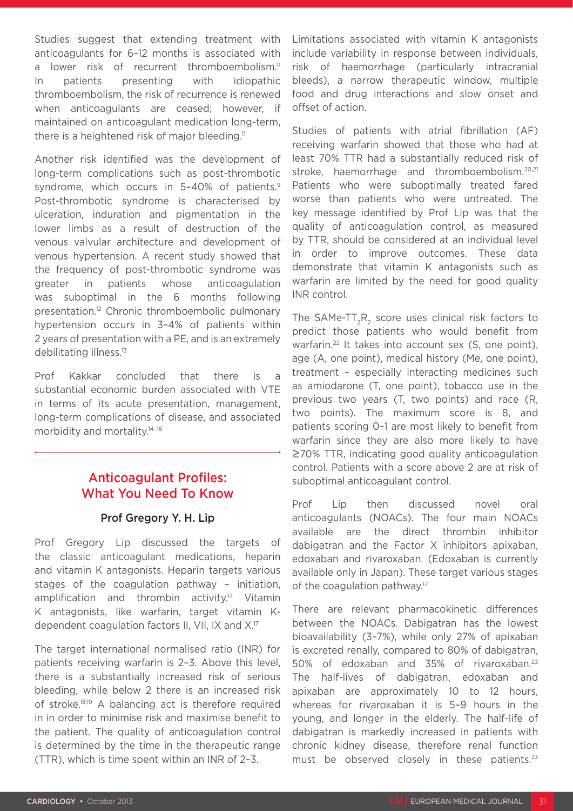Studies suggest that extending treatment with anticoagulants for 6–12 months is associated with a lower risk of recurrent thromboembolism.<sup>11</sup> In patients presenting with idiopathic thromboembolism, the risk of recurrence is renewed when anticoagulants are ceased; however, if maintained on anticoagulant medication long-term, there is a heightened risk of major bleeding.<sup>11</sup>

Another risk identified was the development of long-term complications such as post-thrombotic syndrome, which occurs in 5-40% of patients.<sup>9</sup> Post-thrombotic syndrome is characterised by ulceration, induration and pigmentation in the lower limbs as a result of destruction of the venous valvular architecture and development of venous hypertension. A recent study showed that the frequency of post-thrombotic syndrome was greater in patients whose anticoagulation was suboptimal in the 6 months following presentation.12 Chronic thromboembolic pulmonary hypertension occurs in 3–4% of patients within 2 years of presentation with a PE, and is an extremely debilitating illness.13

Prof Kakkar concluded that there is a substantial economic burden associated with VTE in terms of its acute presentation, management, long-term complications of disease, and associated morbidity and mortality.14–16

### Anticoagulant Profiles: What You Need To Know

#### Prof Gregory Y. H. Lip

Prof Gregory Lip discussed the targets of the classic anticoagulant medications, heparin and vitamin K antagonists. Heparin targets various stages of the coagulation pathway – initiation, amplification and thrombin activity.<sup>17</sup> Vitamin K antagonists, like warfarin, target vitamin Kdependent coagulation factors II, VII, IX and X.17

The target international normalised ratio (INR) for patients receiving warfarin is 2–3. Above this level, there is a substantially increased risk of serious bleeding, while below 2 there is an increased risk of stroke.18,19 A balancing act is therefore required in in order to minimise risk and maximise benefit to the patient. The quality of anticoagulation control is determined by the time in the therapeutic range (TTR), which is time spent within an INR of 2–3.

Limitations associated with vitamin K antagonists include variability in response between individuals, risk of haemorrhage (particularly intracranial bleeds), a narrow therapeutic window, multiple food and drug interactions and slow onset and offset of action.

Studies of patients with atrial fibrillation (AF) receiving warfarin showed that those who had at least 70% TTR had a substantially reduced risk of stroke, haemorrhage and thromboembolism.<sup>20,21</sup> Patients who were suboptimally treated fared worse than patients who were untreated. The key message identified by Prof Lip was that the quality of anticoagulation control, as measured by TTR, should be considered at an individual level in order to improve outcomes. These data demonstrate that vitamin K antagonists such as warfarin are limited by the need for good quality INR control.

The SAMe-TT<sub>2</sub>R<sub>2</sub> score uses clinical risk factors to predict those patients who would benefit from warfarin.<sup>22</sup> It takes into account sex (S, one point), age (A, one point), medical history (Me, one point), treatment – especially interacting medicines such as amiodarone (T, one point), tobacco use in the previous two years (T, two points) and race (R, two points). The maximum score is 8, and patients scoring 0–1 are most likely to benefit from warfarin since they are also more likely to have ≥70% TTR, indicating good quality anticoagulation control. Patients with a score above 2 are at risk of suboptimal anticoagulant control.

Prof Lip then discussed novel oral anticoagulants (NOACs). The four main NOACs available are the direct thrombin inhibitor dabigatran and the Factor X inhibitors apixaban, edoxaban and rivaroxaban. (Edoxaban is currently available only in Japan). These target various stages of the coagulation pathway.<sup>17</sup>

There are relevant pharmacokinetic differences between the NOACs. Dabigatran has the lowest bioavailability (3–7%), while only 27% of apixaban is excreted renally, compared to 80% of dabigatran, 50% of edoxaban and 35% of rivaroxaban.23 The half-lives of dabigatran, edoxaban and apixaban are approximately 10 to 12 hours, whereas for rivaroxaban it is 5–9 hours in the young, and longer in the elderly. The half-life of dabigatran is markedly increased in patients with chronic kidney disease, therefore renal function must be observed closely in these patients. $23$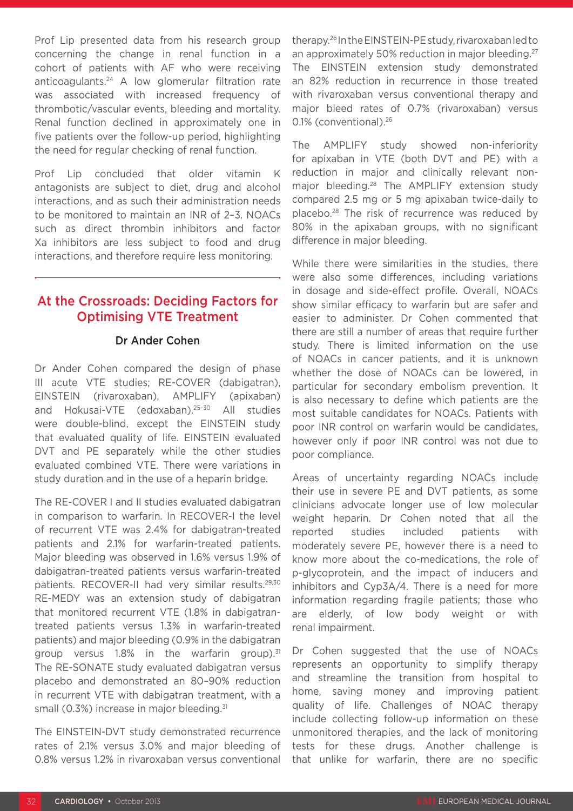Prof Lip presented data from his research group concerning the change in renal function in a cohort of patients with AF who were receiving anticoagulants.24 A low glomerular filtration rate was associated with increased frequency of thrombotic/vascular events, bleeding and mortality. Renal function declined in approximately one in five patients over the follow-up period, highlighting the need for regular checking of renal function.

Prof Lip concluded that older vitamin K antagonists are subject to diet, drug and alcohol interactions, and as such their administration needs to be monitored to maintain an INR of 2–3. NOACs such as direct thrombin inhibitors and factor Xa inhibitors are less subject to food and drug interactions, and therefore require less monitoring.

### At the Crossroads: Deciding Factors for Optimising VTE Treatment

#### Dr Ander Cohen

Dr Ander Cohen compared the design of phase III acute VTE studies; RE-COVER (dabigatran), EINSTEIN (rivaroxaban), AMPLIFY (apixaban) and Hokusai-VTE (edoxaban).25–30 All studies were double-blind, except the EINSTEIN study that evaluated quality of life. EINSTEIN evaluated DVT and PE separately while the other studies evaluated combined VTE. There were variations in study duration and in the use of a heparin bridge.

The RE-COVER I and II studies evaluated dabigatran in comparison to warfarin. In RECOVER-I the level of recurrent VTE was 2.4% for dabigatran-treated patients and 2.1% for warfarin-treated patients. Major bleeding was observed in 1.6% versus 1.9% of dabigatran-treated patients versus warfarin-treated patients. RECOVER-II had very similar results.<sup>29,30</sup> RE-MEDY was an extension study of dabigatran that monitored recurrent VTE (1.8% in dabigatrantreated patients versus 1.3% in warfarin-treated patients) and major bleeding (0.9% in the dabigatran group versus  $1.8\%$  in the warfarin group).<sup>31</sup> The RE-SONATE study evaluated dabigatran versus placebo and demonstrated an 80–90% reduction in recurrent VTE with dabigatran treatment, with a small (0.3%) increase in major bleeding.<sup>31</sup>

The EINSTEIN-DVT study demonstrated recurrence rates of 2.1% versus 3.0% and major bleeding of 0.8% versus 1.2% in rivaroxaban versus conventional therapy.26 In the EINSTEIN-PE study, rivaroxaban led to an approximately 50% reduction in major bleeding.<sup>27</sup> The EINSTEIN extension study demonstrated an 82% reduction in recurrence in those treated with rivaroxaban versus conventional therapy and major bleed rates of 0.7% (rivaroxaban) versus 0.1% (conventional).26

The AMPLIFY study showed non-inferiority for apixaban in VTE (both DVT and PE) with a reduction in major and clinically relevant nonmajor bleeding.28 The AMPLIFY extension study compared 2.5 mg or 5 mg apixaban twice-daily to placebo.28 The risk of recurrence was reduced by 80% in the apixaban groups, with no significant difference in major bleeding.

While there were similarities in the studies, there were also some differences, including variations in dosage and side-effect profile. Overall, NOACs show similar efficacy to warfarin but are safer and easier to administer. Dr Cohen commented that there are still a number of areas that require further study. There is limited information on the use of NOACs in cancer patients, and it is unknown whether the dose of NOACs can be lowered, in particular for secondary embolism prevention. It is also necessary to define which patients are the most suitable candidates for NOACs. Patients with poor INR control on warfarin would be candidates, however only if poor INR control was not due to poor compliance.

Areas of uncertainty regarding NOACs include their use in severe PE and DVT patients, as some clinicians advocate longer use of low molecular weight heparin. Dr Cohen noted that all the reported studies included patients with moderately severe PE, however there is a need to know more about the co-medications, the role of p-glycoprotein, and the impact of inducers and inhibitors and Cyp3A/4. There is a need for more information regarding fragile patients; those who are elderly, of low body weight or with renal impairment.

Dr Cohen suggested that the use of NOACs represents an opportunity to simplify therapy and streamline the transition from hospital to home, saving money and improving patient quality of life. Challenges of NOAC therapy include collecting follow-up information on these unmonitored therapies, and the lack of monitoring tests for these drugs. Another challenge is that unlike for warfarin, there are no specific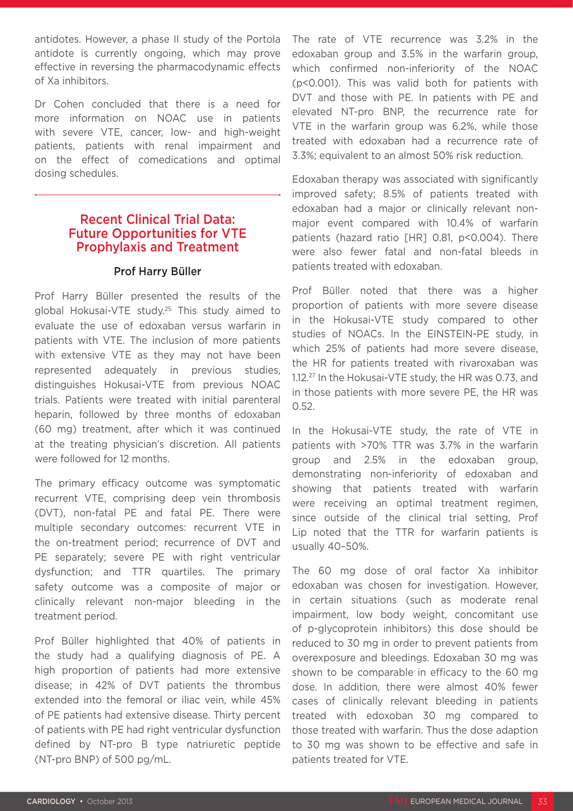antidotes. However, a phase II study of the Portola antidote is currently ongoing, which may prove effective in reversing the pharmacodynamic effects of Xa inhibitors.

Dr Cohen concluded that there is a need for more information on NOAC use in patients with severe VTE, cancer, low- and high-weight patients, patients with renal impairment and on the effect of comedications and optimal dosing schedules.

#### Recent Clinical Trial Data: Future Opportunities for VTE Prophylaxis and Treatment

#### Prof Harry Büller

Prof Harry Büller presented the results of the global Hokusai-VTE study.25 This study aimed to evaluate the use of edoxaban versus warfarin in patients with VTE. The inclusion of more patients with extensive VTE as they may not have been represented adequately in previous studies, distinguishes Hokusai-VTE from previous NOAC trials. Patients were treated with initial parenteral heparin, followed by three months of edoxaban (60 mg) treatment, after which it was continued at the treating physician's discretion. All patients were followed for 12 months.

The primary efficacy outcome was symptomatic recurrent VTE, comprising deep vein thrombosis (DVT), non-fatal PE and fatal PE. There were multiple secondary outcomes: recurrent VTE in the on-treatment period; recurrence of DVT and PE separately; severe PE with right ventricular dysfunction; and TTR quartiles. The primary safety outcome was a composite of major or clinically relevant non-major bleeding in the treatment period.

Prof Büller highlighted that 40% of patients in the study had a qualifying diagnosis of PE. A high proportion of patients had more extensive disease; in 42% of DVT patients the thrombus extended into the femoral or iliac vein, while 45% of PE patients had extensive disease. Thirty percent of patients with PE had right ventricular dysfunction defined by NT-pro B type natriuretic peptide (NT-pro BNP) of 500 pg/mL.

The rate of VTE recurrence was 3.2% in the edoxaban group and 3.5% in the warfarin group, which confirmed non-inferiority of the NOAC (p<0.001). This was valid both for patients with DVT and those with PE. In patients with PE and elevated NT-pro BNP, the recurrence rate for VTE in the warfarin group was 6.2%, while those treated with edoxaban had a recurrence rate of 3.3%; equivalent to an almost 50% risk reduction.

Edoxaban therapy was associated with significantly improved safety; 8.5% of patients treated with edoxaban had a major or clinically relevant nonmajor event compared with 10.4% of warfarin patients (hazard ratio [HR] 0.81, p<0.004). There were also fewer fatal and non-fatal bleeds in patients treated with edoxaban.

Prof Büller noted that there was a higher proportion of patients with more severe disease in the Hokusai-VTE study compared to other studies of NOACs. In the EINSTEIN-PE study, in which 25% of patients had more severe disease, the HR for patients treated with rivaroxaban was 1.12.27 In the Hokusai-VTE study, the HR was 0.73, and in those patients with more severe PE, the HR was 0.52.

In the Hokusai-VTE study, the rate of VTE in patients with >70% TTR was 3.7% in the warfarin group and 2.5% in the edoxaban group, demonstrating non-inferiority of edoxaban and showing that patients treated with warfarin were receiving an optimal treatment regimen, since outside of the clinical trial setting, Prof Lip noted that the TTR for warfarin patients is usually 40–50%.

The 60 mg dose of oral factor Xa inhibitor edoxaban was chosen for investigation. However, in certain situations (such as moderate renal impairment, low body weight, concomitant use of p-glycoprotein inhibitors) this dose should be reduced to 30 mg in order to prevent patients from overexposure and bleedings. Edoxaban 30 mg was shown to be comparable in efficacy to the 60 mg dose. In addition, there were almost 40% fewer cases of clinically relevant bleeding in patients treated with edoxoban 30 mg compared to those treated with warfarin. Thus the dose adaption to 30 mg was shown to be effective and safe in patients treated for VTE.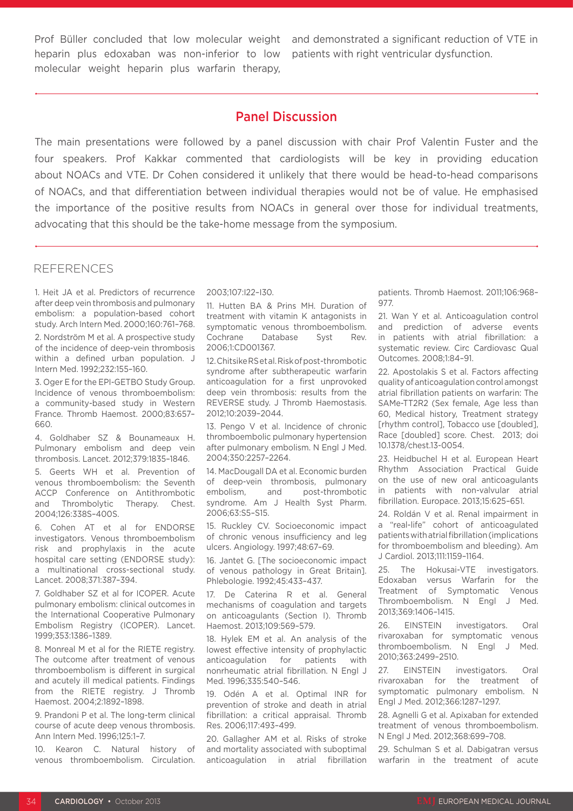heparin plus edoxaban was non-inferior to low molecular weight heparin plus warfarin therapy,

Prof Büller concluded that low molecular weight and demonstrated a significant reduction of VTE in patients with right ventricular dysfunction.

### Panel Discussion

The main presentations were followed by a panel discussion with chair Prof Valentin Fuster and the four speakers. Prof Kakkar commented that cardiologists will be key in providing education about NOACs and VTE. Dr Cohen considered it unlikely that there would be head-to-head comparisons of NOACs, and that differentiation between individual therapies would not be of value. He emphasised the importance of the positive results from NOACs in general over those for individual treatments, advocating that this should be the take-home message from the symposium.

#### REFERENCES

1. Heit JA et al. Predictors of recurrence after deep vein thrombosis and pulmonary embolism: a population-based cohort study. Arch Intern Med. 2000;160:761–768.

2. Nordström M et al. A prospective study of the incidence of deep-vein thrombosis within a defined urban population. J Intern Med. 1992;232:155–160.

3. Oger E for the EPI-GETBO Study Group. Incidence of venous thromboembolism: a community-based study in Western France. Thromb Haemost. 2000;83:657– 660.

4. Goldhaber SZ & Bounameaux H. Pulmonary embolism and deep vein thrombosis. Lancet. 2012;379:1835–1846.

5. Geerts WH et al. Prevention of venous thromboembolism: the Seventh ACCP Conference on Antithrombotic and Thrombolytic Therapy. Chest. 2004;126:338S–400S.

6. Cohen AT et al for ENDORSE investigators. Venous thromboembolism risk and prophylaxis in the acute hospital care setting (ENDORSE study): a multinational cross-sectional study. Lancet. 2008;371:387–394.

7. Goldhaber SZ et al for ICOPER. Acute pulmonary embolism: clinical outcomes in the International Cooperative Pulmonary Embolism Registry (ICOPER). Lancet. 1999;353:1386–1389.

8. Monreal M et al for the RIETE registry. The outcome after treatment of venous thromboembolism is different in surgical and acutely ill medical patients. Findings from the RIETE registry. J Thromb Haemost. 2004;2:1892–1898.

9. Prandoni P et al. The long-term clinical course of acute deep venous thrombosis. Ann Intern Med. 1996;125:1–7.

10. Kearon C. Natural history of venous thromboembolism. Circulation.

2003;107:I22–I30.

11. Hutten BA & Prins MH. Duration of treatment with vitamin K antagonists in symptomatic venous thromboembolism. Cochrane Database Syst Rev. 2006;1:CD001367.

12. Chitsike RS et al. Risk of post-thrombotic syndrome after subtherapeutic warfarin anticoagulation for a first unprovoked deep vein thrombosis: results from the REVERSE study. J Thromb Haemostasis. 2012;10:2039–2044.

13. Pengo V et al. Incidence of chronic thromboembolic pulmonary hypertension after pulmonary embolism. N Engl J Med. 2004;350:2257–2264.

14. MacDougall DA et al. Economic burden of deep-vein thrombosis, pulmonary embolism, and post-thrombotic syndrome. Am J Health Syst Pharm. 2006;63:S5–S15.

15. Ruckley CV. Socioeconomic impact of chronic venous insufficiency and leg ulcers. Angiology. 1997;48:67–69.

16. Jantet G. [The socioeconomic impact of venous pathology in Great Britain]. Phlebologie. 1992;45:433–437.

17. De Caterina R et al. General mechanisms of coagulation and targets on anticoagulants (Section I). Thromb Haemost. 2013;109:569–579.

18. Hylek EM et al. An analysis of the lowest effective intensity of prophylactic anticoagulation for patients with nonrheumatic atrial fibrillation. N Engl J Med. 1996;335:540–546.

19. Odén A et al. Optimal INR for prevention of stroke and death in atrial fibrillation: a critical appraisal. Thromb Res. 2006;117:493–499.

20. Gallagher AM et al. Risks of stroke and mortality associated with suboptimal anticoagulation in atrial fibrillation

patients. Thromb Haemost. 2011;106:968– 977.

21. Wan Y et al. Anticoagulation control and prediction of adverse events in patients with atrial fibrillation: a systematic review. Circ Cardiovasc Qual Outcomes. 2008;1:84–91.

22. Apostolakis S et al. Factors affecting quality of anticoagulation control amongst atrial fibrillation patients on warfarin: The SAMe-TT2R2 (Sex female, Age less than 60, Medical history, Treatment strategy [rhythm control], Tobacco use [doubled], Race [doubled] score. Chest. 2013; doi 10.1378/chest.13-0054.

23. Heidbuchel H et al. European Heart Rhythm Association Practical Guide on the use of new oral anticoagulants in patients with non-valvular atrial fibrillation. Europace. 2013;15:625–651.

24. Roldán V et al. Renal impairment in a "real-life" cohort of anticoagulated patients with atrial fibrillation (implications for thromboembolism and bleeding). Am J Cardiol. 2013;111:1159–1164.

25. The Hokusai-VTE investigators. Edoxaban versus Warfarin for the Treatment of Symptomatic Venous Thromboembolism. N Engl J Med. 2013;369:1406–1415.

26. EINSTEIN investigators. Oral rivaroxaban for symptomatic venous thromboembolism. N Engl J Med. 2010;363:2499–2510.

27. EINSTEIN investigators. Oral rivaroxaban for the treatment of symptomatic pulmonary embolism. N Engl J Med. 2012;366:1287–1297.

28. Agnelli G et al. Apixaban for extended treatment of venous thromboembolism. N Engl J Med. 2012;368:699–708.

29. Schulman S et al. Dabigatran versus warfarin in the treatment of acute